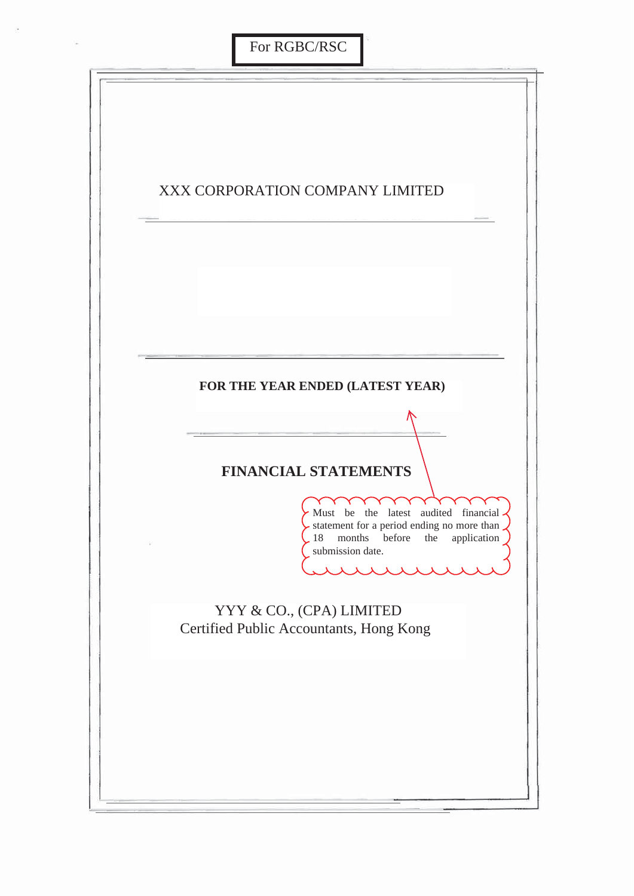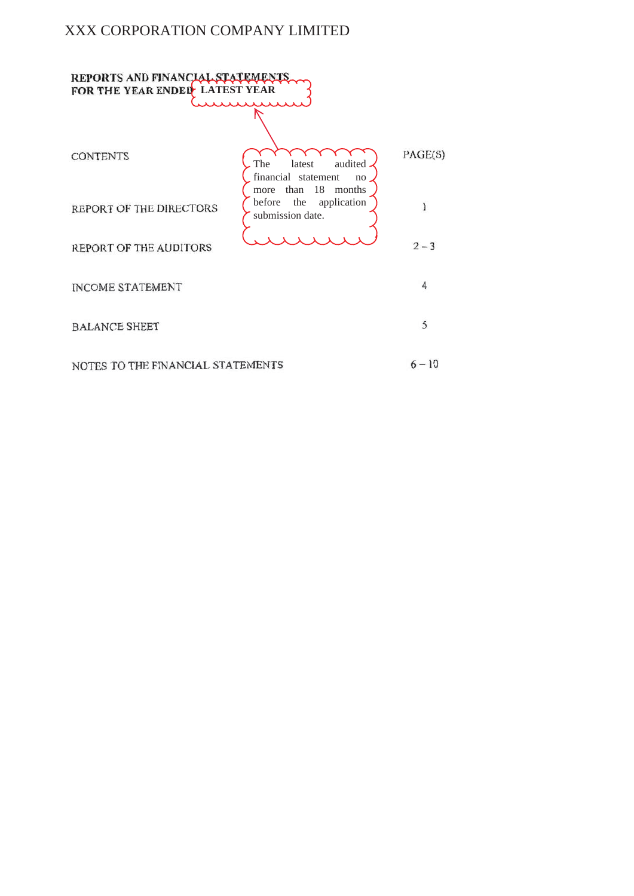## XXX CORPORATION COMPANY LIMITED

| REPORTS AND FINANCIAL STATEM<br>FOR THE YEAR ENDED LATEST YEAR |                                                                            |          |  |  |  |  |
|----------------------------------------------------------------|----------------------------------------------------------------------------|----------|--|--|--|--|
|                                                                |                                                                            |          |  |  |  |  |
| <b>CONTENTS</b>                                                | The<br>latest<br>audited<br>financial statement<br>no                      | PAGE(S)  |  |  |  |  |
| REPORT OF THE DIRECTORS                                        | than 18 months<br>more<br>application<br>the<br>before<br>submission date. | 1        |  |  |  |  |
| REPORT OF THE AUDITORS                                         |                                                                            | $2 - 3$  |  |  |  |  |
| <b>INCOME STATEMENT</b>                                        |                                                                            | 4        |  |  |  |  |
| <b>BALANCE SHEET</b>                                           |                                                                            | 5        |  |  |  |  |
| NOTES TO THE FINANCIAL STATEMENTS                              |                                                                            | $6 - 10$ |  |  |  |  |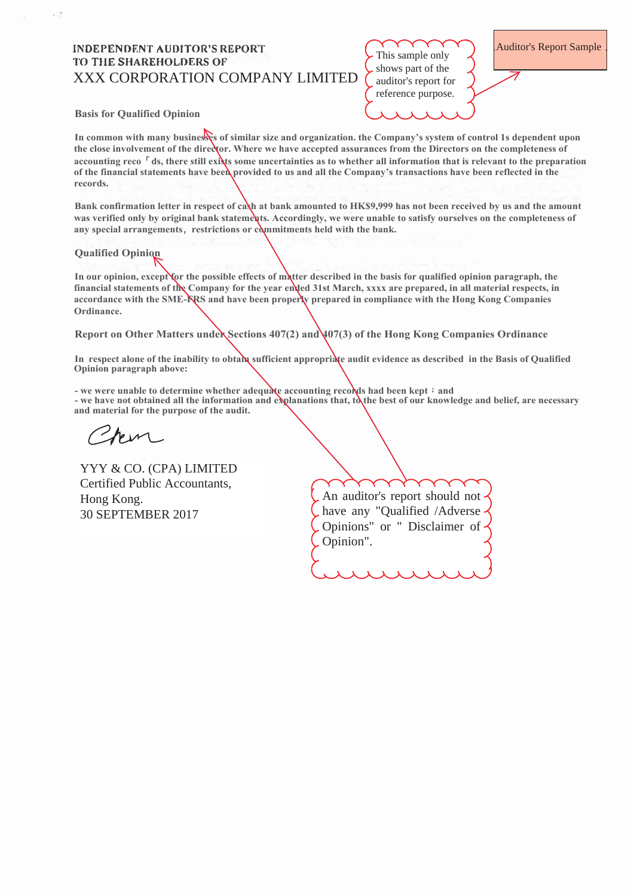## **INDEPENDENT AUDITOR'S REPORT TO THE SHAREHOLDERS OF XXX CORPORATION COMPANY LIMITED**

This sample only shows part of the auditor's report for reference purpose.

**Auditor's Report Sample** 

**Basis for Oualified Opinion** 

In common with many businesses of similar size and organization, the Company's system of control 1s dependent upon the close involvement of the director. Where we have accepted assurances from the Directors on the completeness of accounting reco<sup>r</sup>ds, there still exists some uncertainties as to whether all information that is relevant to the preparation of the financial statements have been provided to us and all the Company's transactions have been reflected in the records.

Bank confirmation letter in respect of cash at bank amounted to HK\$9,999 has not been received by us and the amount was verified only by original bank statements. Accordingly, we were unable to satisfy ourselves on the completeness of any special arrangements, restrictions or commitments held with the bank.

## **Oualified Opinion**

In our opinion, except for the possible effects of matter described in the basis for qualified opinion paragraph, the financial statements of the Company for the year ended 31st March, xxxx are prepared, in all material respects, in accordance with the SME-NRS and have been properly prepared in compliance with the Hong Kong Companies Ordinance.

Report on Other Matters under Sections  $407(2)$  and  $407(3)$  of the Hong Kong Companies Ordinance

In respect alone of the inability to obtain sufficient appropriate audit evidence as described in the Basis of Qualified Opinion paragraph above:

- we were unable to determine whether adequate accounting records had been kept; and

- we have not obtained all the information and explanations that, to the best of our knowledge and belief, are necessary and material for the purpose of the audit.

YYY & CO. (CPA) LIMITED Certified Public Accountants, Hong Kong. 30 SEPTEMBER 2017

An auditor's report should not have any "Qualified /Adverse Opinions" or " Disclaimer of Opinion".